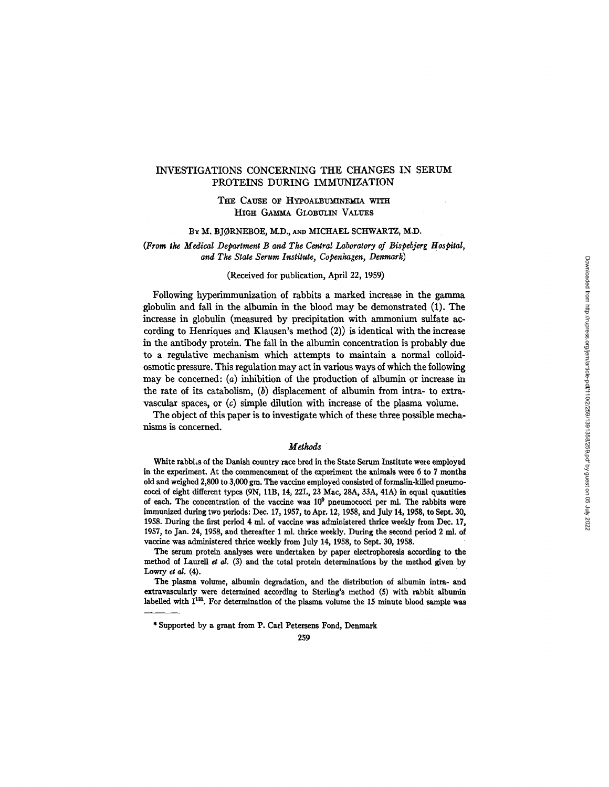## INVESTIGATIONS CONCERNING THE CHANGES IN SERUM PROTEINS DURING IMMUNIZATION

# THE CAUSE OF HYPOALBUMINEMIA WITH HIGH GAMMA GLOBULIN VALUES

### BY M. BJØRNEBOE, M.D., AND MICHAEL SCHWARTZ, M.D.

### *(From the Medical Department B and The Central Laboratory of Bispebjerg Hospital, and The State Serum Institute, Copenhagen, Denmark)*

#### (Received for publication, April 22, 1959)

Following hyperimmunization of rabbits a marked increase in the gamma globulin and fall in the albumin in the blood may be demonstrated (1). The increase in globulin (measured by precipitation with ammonium sulfate according to Henriques and Klansen's method (2)) is identical with the increase in the antibody protein. The fall in the albumin concentration is probably due to a regulative mechanism which attempts to maintain a normal colloidosmotic pressure. This regulation may act in various ways of which the following may be concerned: (a) inhibition of the production of albumin or increase in the rate of its catabolism,  $(b)$  displacement of albumin from intra- to extravascular spaces, or (c) simple dilution with increase of the plasma volume.

The object of this paper is to investigate which of these three possible mechanisms is concerned.

#### *Methods*

White rabbits of the Danish country race bred in the State Serum Institute were employed in the experiment. At the commencement of the experiment the animals were 6 to 7 months old and weighed 2,800 to 3,000 gin. The vaccine employed consisted of formalin-kiUed pneumococci of eight different types (9N, llB, 14, 22L, 23 Mac, 28A, 33A, 41A) in equal quantities of each. The concentration of the vaccine was  $10^9$  pneumococci per ml. The rabbits were immunized during two periods: Dec. 17, 1957, to Apr. 12, 1958, and July 14, 1958, to Sept. 30, 1958. During the first period 4 ml. of vaccine was administered thrice weekly from Dec. 17, 1957, to Jan. 24, 1958, and thereafter 1 nil. thrice weekly. During the second period 2 ml. of vaccine was administered thrice weekly from July 14, 1958, to Sept. 30, 1958.

The serum protein analyses were undertaken by paper electrophoresis according to the method of Laurell *et al.* (3) and the total protein determinations by the method given by Lowry et  $al. (4)$ .

The plasma volume, albumin degradation, and the distribution of albumin intra- and extravascularly were determined according to Sterling's method (5) with rabbit albumin labelled with  $I^{131}$ . For determination of the plasma volume the 15 minute blood sample was

<sup>\*</sup> Supported by a grant from P. Carl Petersens Fond, Denmark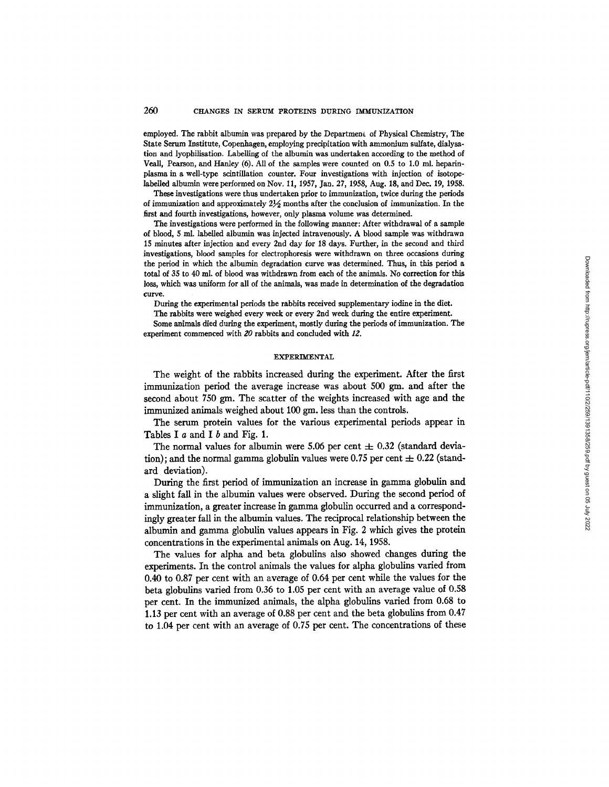### 260 CHANGES IN SERUM PROTEINS DURING IMMUNIZATION

employed. The rabbit albumin was prepared by the Department of Physical Chemistry, The State Serum Institute, Copenhagen, employing precipitation with ammonium sulfate, dialysation and lyophilisation. Labelling of the albumin was undertaken according to the method of Veall, Pearson, and Hanley (6). All of the samples were counted on 0.5 to 1.0 ml. heparinplasma in a well-type scintillation counter. Four investigations with injection of isotopelabelled albumin were performed on Nov. 11, 1957, Jan. *27,* 1958, Aug. 18, and Dec. 19, 1958.

These investigations were thus undertaken prior to immunization, twice during the periods of immunization and approximately  $2\frac{1}{2}$  months after the conclusion of immunization. In the first and fourth investigations, however, only plasma volume was determined.

The investigations were performed in the following manner: After withdrawal of a sample of blood, 5 ml. labelled albumin was injected intravenously. A blood sample was withdrawn 15 minutes after injection and every 2nd day for 18 days. Further, in the second and third investigations, blood samples for electrophoresis were withdrawn on three occasions during the period in which the albumin degradation curve was determined. Thus, in this period a total of 35 to 40 ml. of blood was withdrawn from each of the animals. No correction for this loss, which was uniform for all of the animals, was made in determination of the degradation curve.

During the experimental periods the rabbits received supplementary iodine in the diet.

The rabbits were weighed every week or every 2nd week during the entire experiment.

Some animals died during the experiment, mostly during the periods of immunization. The experiment commenced with  $20$  rabbits and concluded with  $12$ .

#### EXPERIMENTAL

The weight of the rabbits increased during the experiment. After the first immunization period the average increase was about 500 gm, and after the second about 750 gm. The scatter of the weights increased with age and the immunized animals weighed about 100 gm. less than the controls.

The serum protein values for the various experimental periods appear in Tables I a and I b and Fig. 1.

The normal values for albumin were 5.06 per cent  $\pm$  0.32 (standard deviation); and the normal gamma globulin values were 0.75 per cent  $\pm$  0.22 (standard deviation).

During the first period of immunization an increase in gamma globulin and a slight fall in the albumin values were observed. During the second period of immunization, a greater increase in gamma globulin occurred and a correspondingly greater fall in the albumin values. The reciprocal relationship between the albumin and gamma globulin values appears in Fig. 2 which gives the protein concentrations in the experimental animals on Aug. 14, 1958.

The values for alpha and beta globulins also showed changes during the experiments. In the control animals the values for alpha globulins varied from 0.40 to 0.87 per cent with an average of 0.64 per cent while the values for the beta globulins varied from 0.36 to 1.05 per cent with an average value of 0.58 per cent. In the immunized animals, the alpha globulins varied from 0.68 to 1.13 per cent with an average of 0.88 per cent and the beta globulins from 0.47 to 1.04 per cent with an average of 0.75 per cent. The concentrations of these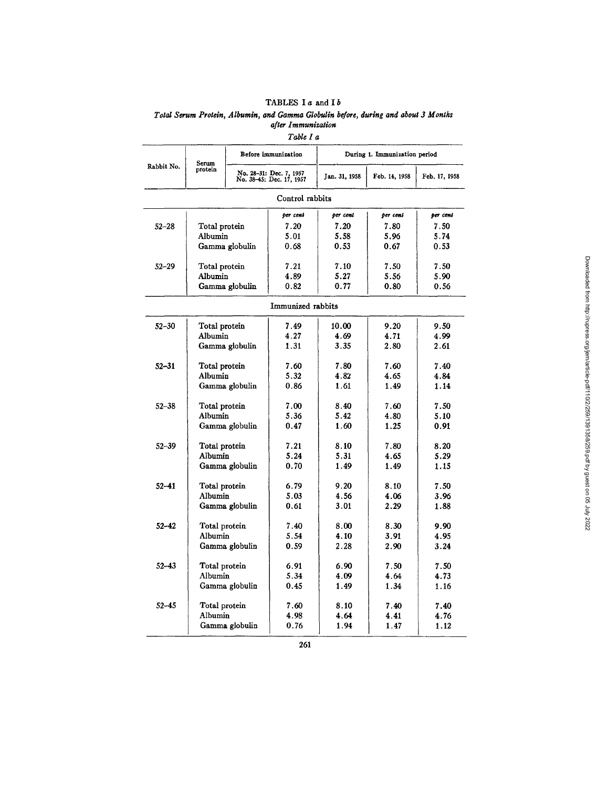# TABLES I  $a$  and I  $b$ *Total Serum Protein, Albumin, and Gamma Globulin before, during and about 3 Months after Immunization*

*Table I* 

|            |                                                                         |                | Before immunization | During 1. Immunization period |               |               |  |  |  |
|------------|-------------------------------------------------------------------------|----------------|---------------------|-------------------------------|---------------|---------------|--|--|--|
| Rabbit No. | Serum<br>protein<br>No. 28-31: Dec. 7, 1957<br>No. 38-45: Dec. 17, 1957 |                |                     | Jan. 31, 1958                 | Feb. 14, 1958 | Feb. 17, 1958 |  |  |  |
|            |                                                                         |                | Control rabbits     |                               |               |               |  |  |  |
|            |                                                                         |                | per cent            | per cent                      | per cent      | per cent      |  |  |  |
| $52 - 28$  | Total protein                                                           |                | 7.20                | 7.20                          | 7.80          | 7.50          |  |  |  |
|            | Albumin                                                                 |                | 5.01                | 5.58                          | 5.96          | 5.74          |  |  |  |
|            |                                                                         | Gamma globulin | 0.68                | 0.53                          | 0.67          | 0.53          |  |  |  |
| $52 - 29$  | Total protein                                                           |                | 7.21                | 7.10                          | 7.50<br>7.50  |               |  |  |  |
|            | Albumin                                                                 |                | 4.89                | 5.27                          | 5.56<br>5.90  |               |  |  |  |
|            |                                                                         | Gamma globulin | 0.82                | 0.77                          | 0.80          | 0.56          |  |  |  |
|            |                                                                         |                | Immunized rabbits   |                               |               |               |  |  |  |
| $52 - 30$  | Total protein                                                           |                | 7.49                | 10.00                         | 9.20          | 9.50          |  |  |  |
|            | Albumin                                                                 |                | 4.27                | 4.69                          | 4.71          | 4.99          |  |  |  |
|            |                                                                         | Gamma globulin | 1.31                | 3.35                          | 2.80          | 2.61          |  |  |  |
| $52 - 31$  | Total protein                                                           |                | 7.60                | 7.80                          | 7.60          | 7.40          |  |  |  |
|            | Albumin                                                                 |                | 5.32                | 4.82                          | 4.65          | 4.84          |  |  |  |
|            |                                                                         | Gamma globulin | 0.86                | 1.61                          |               | 1.14          |  |  |  |
| $52 - 38$  | Total protein                                                           |                | 7.00                | 8.40                          | 7.60          | 7.50          |  |  |  |
|            | Albumin                                                                 |                | 5.36                | 5.42                          | 4.80          | 5.10          |  |  |  |
|            |                                                                         | Gamma globulin | 0.47                | 1.60                          | 1.25          | 0.91          |  |  |  |
| $52 - 39$  | Total protein                                                           |                | 7.21                | 8.10                          | 7.80          | 8.20          |  |  |  |
|            | Albumin                                                                 |                | 5.24                | 5.31                          | 4.65          | 5.29          |  |  |  |
|            |                                                                         | Gamma globulin | 0.70                | 1.49                          | 1.49          | 1.15          |  |  |  |
| $52 - 41$  | Total protein                                                           |                | 6.79                | 9.20                          | 8.10          | 7.50          |  |  |  |
|            | Albumin                                                                 |                | 5.03                | 4.56                          | 4.06          | 3.96          |  |  |  |
|            |                                                                         | Gamma globulin | 0.61                | 3.01                          | 2.29          | 1.88          |  |  |  |
| $52 - 42$  | Total protein                                                           |                | 7.40                | 8.00                          | 8.30          | 9.90          |  |  |  |
|            | Albumin                                                                 |                | 5.54                | 4.10                          | 3.91          | 4.95          |  |  |  |
|            |                                                                         | Gamma globulin | 0.59                | 2.28                          | 2.90          | 3.24          |  |  |  |
| $52 - 43$  | Total protein                                                           |                | 6.91                | 6.90                          | 7.50          | 7.50          |  |  |  |
|            | Albumin                                                                 |                | 5.34                | 4.09                          | 4.64          | 4.73          |  |  |  |
|            |                                                                         | Gamma globulin | 0.45                | 1.49                          | 1.34          | 1.16          |  |  |  |
| $52 - 45$  | Total protein                                                           |                | 7.60                | 8.10                          | 7.40          | 7.40          |  |  |  |
|            | Albumin                                                                 |                | 4.98                | 4.64                          | 4.41          | 4.76          |  |  |  |
|            |                                                                         | Gamma globulin | 0.76                | 1.94                          | 1.47          | 1.12          |  |  |  |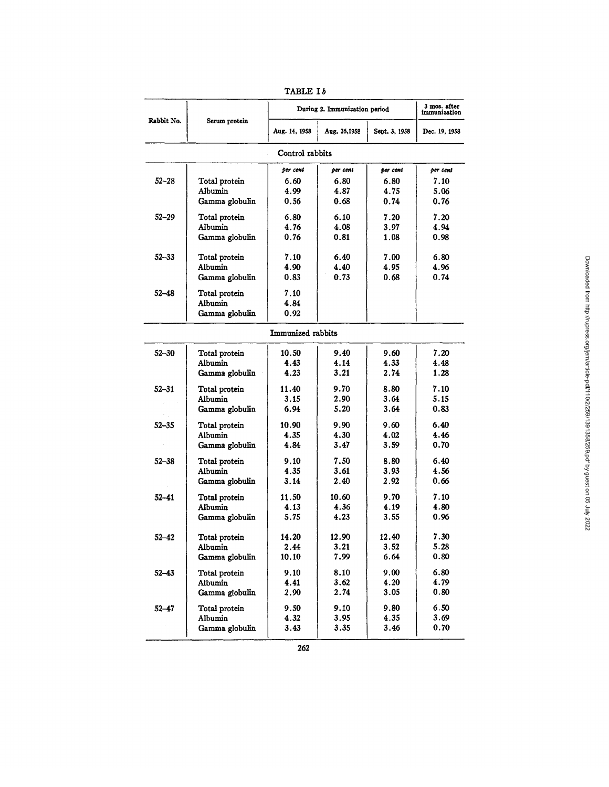|                             |                          | During 2. Immunization period | 3 mos. after<br>immunization |               |               |  |  |  |  |
|-----------------------------|--------------------------|-------------------------------|------------------------------|---------------|---------------|--|--|--|--|
| Rabbit No.<br>Serum protein |                          | Aug. 14, 1958<br>Aug. 26,1958 |                              | Sept. 3, 1958 | Dec. 19, 1958 |  |  |  |  |
| Control rabbits             |                          |                               |                              |               |               |  |  |  |  |
|                             |                          | per cent<br>per cent          |                              | per cent      | per cent      |  |  |  |  |
| 52–28                       | Total protein            | 6.60                          | 6.80                         | 6.80          | 7.10          |  |  |  |  |
|                             | Albumin                  | 4.99                          | 4.87                         | 4.75          | 5.06          |  |  |  |  |
|                             | Gamma globulin           | 0.56                          | 0.68                         | 0.74          | 0.76          |  |  |  |  |
| $52 - 29$                   | Total protein            | 6.80                          | 6.10                         | 7.20          | 7.20          |  |  |  |  |
|                             | Albumin                  | 4.76                          | 4.08                         | 3.97          | 4.94          |  |  |  |  |
|                             | Gamma globulin           | 0.76                          | 0.81                         | 1.08          | 0.98          |  |  |  |  |
| $52 - 33$                   |                          | 7.10                          | 6.40                         | 7.00          | 6.80          |  |  |  |  |
|                             | Total protein<br>Albumin | 4.90                          | 4.40                         | 4.95          | 4.96          |  |  |  |  |
|                             | Gamma globulin           | 0.83                          | 0.73                         | 0.68          | 0.74          |  |  |  |  |
|                             |                          |                               |                              |               |               |  |  |  |  |
| $52 - 48$                   | Total protein            | 7.10                          |                              |               |               |  |  |  |  |
|                             | Albumin                  | 4.84                          |                              |               |               |  |  |  |  |
|                             | Gamma globulin           | 0.92                          |                              |               |               |  |  |  |  |
|                             |                          | Immunized rabbits             |                              |               |               |  |  |  |  |
| $52 - 30$                   | Total protein            | 10.50                         | 9.40                         | 9.60          | 7.20          |  |  |  |  |
|                             | Albumin                  | 4.43                          | 4.14                         | 4.33          | 4.48          |  |  |  |  |
|                             | Gamma globulin           | 4.23                          | 3.21                         | 2.74          | 1.28          |  |  |  |  |
| $52 - 31$                   | Total protein            | 11.40                         | 9.70                         | 8.80          | 7.10          |  |  |  |  |
|                             | Albumin                  | 3.15                          | 2.90                         | 3.64          | 5.15          |  |  |  |  |
|                             | Gamma globulin           | 6.94                          | 5.20                         | 3.64          | 0.83          |  |  |  |  |
| $52 - 35$                   | Total protein            | 10.90                         | 9.90                         | 9.60          | 6.40          |  |  |  |  |
|                             | Albumin                  | 4.35                          | 4.30                         | 4.02          | 4.46          |  |  |  |  |
|                             | Gamma globulin           | 4.84                          | 3.47                         | 3.59          | 0.70          |  |  |  |  |
| $52 - 38$                   | Total protein            | 9.10                          | 7.50                         | 8.80          | 6.40          |  |  |  |  |
|                             | Albumin                  | 4.35                          | 3.61                         | 3.93          | 4.56          |  |  |  |  |
|                             | Gamma globulin           | 3.14                          | 2.40                         | 2.92          | 0.66          |  |  |  |  |
| $52 - 41$                   | Total protein            | 11.50                         | 10.60                        | 9.70          | 7.10          |  |  |  |  |
|                             | Albumin                  | 4.13                          | 4.36                         | 4.19          | 4.80          |  |  |  |  |
|                             | Gamma globulin           | 5.75                          | 4.23                         | 3.55          | 0.96          |  |  |  |  |
| 52–42                       | Total protein            | 14.20                         | 12.90                        | 12.40         | 7.30          |  |  |  |  |
|                             | Albumin                  | 2.44                          | 3.21                         | 3.52          | 5.28          |  |  |  |  |
|                             | Gamma globulin           | 10.10                         | 7.99                         | 6.64          | 0.80          |  |  |  |  |
| $52 - 43$                   | Total protein            | 9.10                          | 8.10                         | 9.00          | 6.80          |  |  |  |  |
|                             | Albumin                  | 4.41                          | 3.62                         | 4.20          | 4.79          |  |  |  |  |
|                             | Gamma globulin           | 2.90                          | 2.74                         | 3.05          | 0.80          |  |  |  |  |
| $52 - 47$                   | Total protein            | 9.50                          | 9.10                         | 9.80          | 6.50          |  |  |  |  |
|                             | Albumin                  | 4.32                          | 3.95                         | 4.35          | 3.69          |  |  |  |  |
|                             | Gamma globulin           | 3.43                          | 3.35                         | 3.46          | 0.70          |  |  |  |  |
|                             |                          |                               |                              |               |               |  |  |  |  |

| TABLE I | n |
|---------|---|
|---------|---|

 $\overline{\phantom{a}}$ 

 $\frac{1}{262}$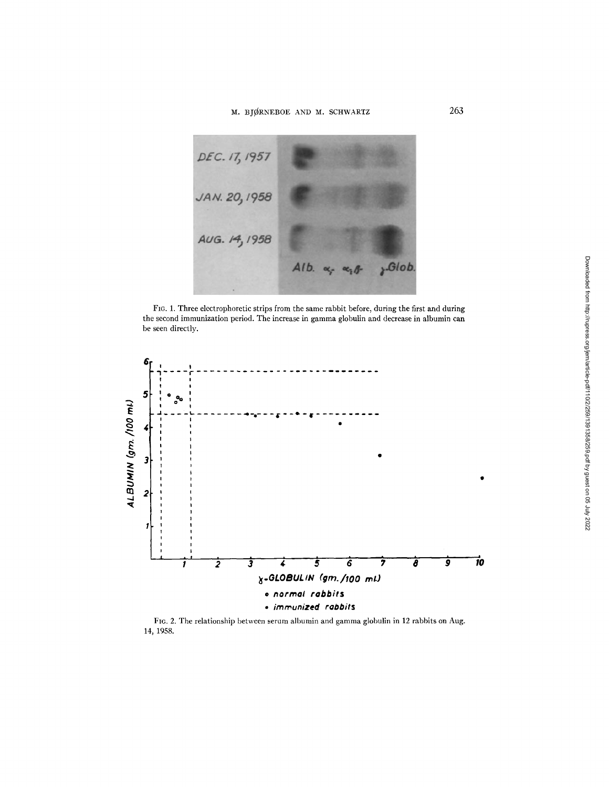# M. BJØRNEBOE AND M. SCHWARTZ



FIG. 1. Three electrophoretic strips from the same rabbit before, during the first and during the second immunization period. The increase in gamma globulin and decrease in albumin can be seen directly.



FIG. 2. The relationship between serum albumin and gamma globulin in 12 rabbits on Aug. 14, 1958.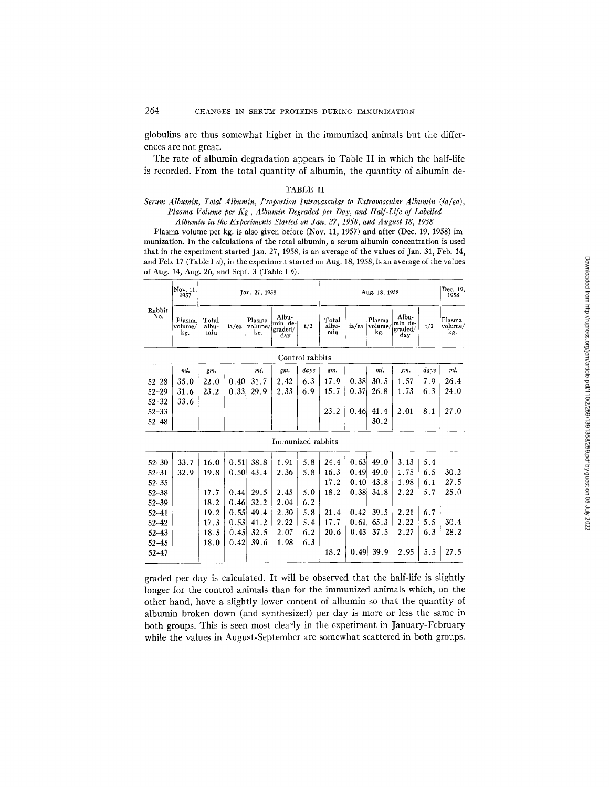globulins are thus somewhat higher in the immunized animals but the differences are not great.

The rate of albumin degradation appears in Table II in which the half-life is recorded. From the total quantity of albumin, the quantity of albumin de-

### TABLE II

### *Serum Albumin, Total Albumin, Proportion Intravascular to Extravascular Albumin (ia/ea), Plasma Volume per Kg., Albumin Degraded per Day, and Half-Life of Labelled Albumin in the Experiments Started on Jan. 27, 1958, and August 18, 1958*

Plasma volume per kg. is also given before (Nov. 11, 1957) and after (Dec. 19, 1958) imnmnization. In the calculations of the total albumin, a serum albumin concentration is used that in the experiment started Jan. 27, 1958, is an average of the values of Jan. 31, Feb. 14, and Feb. 17 (Table I a), in the experiment started on Aug. 18, 1958, is an average of the values of Aug. 14, Aug. 26, and Sept. 3 (Table I b).

| Rabbit<br>No. | Nov. 11,<br>1957         | Jan. 27, 1958         |       |                          |                                    | Aug. 18, 1958   |                       |       |                          | Dec. 19,<br>1958                   |      |                          |
|---------------|--------------------------|-----------------------|-------|--------------------------|------------------------------------|-----------------|-----------------------|-------|--------------------------|------------------------------------|------|--------------------------|
|               | Plasma<br>volume/<br>kg. | Total<br>albu-<br>min | ia/ea | Plasma<br>volume/<br>kg. | Albu-<br>min de-<br>graded/<br>day | t/2             | Total<br>albu-<br>min | ia/ea | Plasma<br>volume/<br>kg. | Albu-<br>min de-<br>graded/<br>day | t/2  | Plasma<br>volume/<br>kg. |
|               |                          |                       |       |                          |                                    | Control rabbits |                       |       |                          |                                    |      |                          |
|               | ml.                      | gm.                   |       | ml.                      | gm.                                | days            | gm.                   |       | ml.                      | gm.                                | days | ml.                      |
| $52 - 28$     | 35.0                     | 22.0                  | 0.40  | 31.7                     | 2.42                               | 6.3             | 17.9                  | 0.38  | 30.5                     | 1.57                               | 7.9  | 26.4                     |
| $52 - 29$     | 31.6                     | 23.2                  | 0.33  | 29.9                     | 2.33                               | 6.9             | 15.7                  | 0.37  | 26.8                     | 1.73                               | 6.3  | 24.0                     |
| $52 - 32$     | 33.6                     |                       |       |                          |                                    |                 |                       |       |                          |                                    |      |                          |
| $52 - 33$     |                          |                       |       |                          |                                    |                 | 23.2                  | 0.46  | 41.4                     | 2.01                               | 8.1  | 27.0                     |
| $52 - 48$     |                          |                       |       |                          |                                    |                 |                       |       | 30.2                     |                                    |      |                          |
|               |                          |                       |       |                          | Immunized rabbits                  |                 |                       |       |                          |                                    |      |                          |
| $52 - 30$     | 33.7                     | 16.0                  | 0.51  | 38.8                     | 1.91                               | 5.8             | 24.4                  | 0.63  | 49.0                     | 3.13                               | 5.4  |                          |
| $52 - 31$     | 32.9                     | 19.8                  | 0.50  | 43.4                     | 2.36                               | 5.8             | 16.3                  | 0.49  | 49.0                     | 1.75                               | 6.5  | 30.2                     |
| $52 - 35$     |                          |                       |       |                          |                                    |                 | 17.2                  | 0.40  | 43.8                     | 1.98                               | 6.1  | 27.5                     |
| $52 - 38$     |                          | 17.7                  | 0.44  | 29.5                     | 2.45                               | 5.0             | 18.2                  | 0.38  | 34.8                     | 2.22                               | 5.7  | 25.0                     |
| $52 - 39$     |                          | 18.2                  | 0.46  | 32.2                     | 2.04                               | 6.2             |                       |       |                          |                                    |      |                          |
| $52 - 41$     |                          | 19.2                  | 0.55  | 49.4                     | 2.30                               | 5.8             | 21.4                  | 0.42  | 39.5                     | 2.21                               | 6.7  |                          |
| $52 - 42$     |                          | 17.3                  | 0.53  | 41.2                     | 2.22                               | 5.4             | 17.7                  | 0.61  | 65.3                     | 2.22                               | 5.5  | 30.4                     |
| $52 - 43$     |                          | 18.5                  | 0.45  | 32.5                     | 2.07                               | 6.2             | 20.6                  | 0.43  | 37.5                     | 2.27                               | 6.3  | 28.2                     |
| $52 - 45$     |                          | 18.0                  | 0.42  | 39.6                     | 1.98                               | 6.3             |                       |       |                          |                                    |      |                          |
| $52 - 47$     |                          |                       |       |                          |                                    |                 | 18.2                  | 0.49  | 39.9                     | 2.95                               | 5.5  | 27.5                     |

graded per day is calculated. It will be observed that the half-life is slightly longer for the control animals than for the immunized animals which, on the other hand, have a slightly lower content of albumin so that the quantity of albumin broken down (and synthesized) per day is more or less the same in both groups. This is seen most clearly in the experiment in January-February while the values in August-September are somewhat scattered in both groups.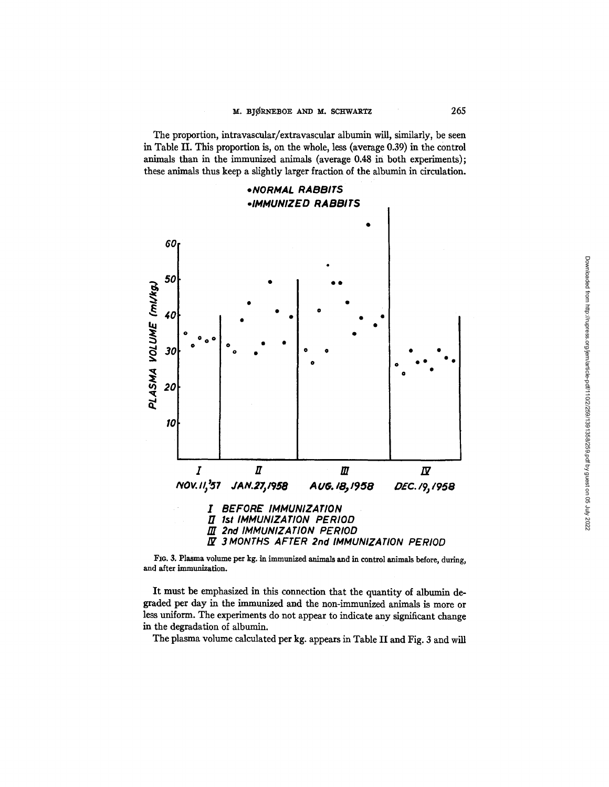The proportion, intravascular/extravascular albumin will, similarly, be seen in Table II. This proportion is, on the whole, less (average 0.39) in the control animals than in the immunized animals (average 0.48 in both experiments); these animals thus keep a slightly larger fraction of the albumin in circulation.



FIG. 3. Plasma volume per kg. in immunized animals and in control animals before, during, **and after immunization.** 

It must be emphasized in this connection that the quantity of albumin degraded per day in the immunized and the non-immunized animals is more or less uniform. The experiments do not appear to indicate any significant change in the degradation of albumin.

The plasma volume calculated per kg. appears in Table II and Fig. 3 and will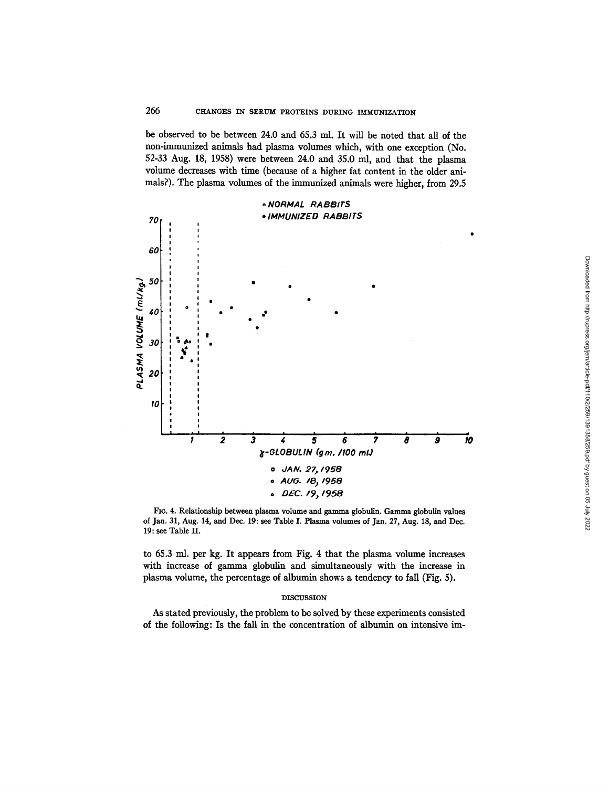be observed to be between 24.0 and 65.3 ml. It will be noted that all of the non-immunized animals had plasma volumes which, with one exception (No. 52-33 Aug. 18, 1958) were between 24.0 and 35.0 ml, and that the plasma volume decreases with time (because of a higher fat content in the older animals?). The plasma volumes of the immunized animals were higher, from 29.5



FIG. 4. Relationship between plasma volume and gamma globulin. Gamma globulin values of Jam. 31, Aug. 14, and Dec. 19: see Table I. Plasma volumes of Jan. 27, Aug. 18, and Dec. 19: see Table II.

to 65.3 ml. per kg. It appears from Fig. 4 that the plasma volume increases with increase of gamma globulin and simultaneously with the increase in plasma volume, the percentage of albumin shows a tendency to fall (Fig. 5).

### DISCUSSION

As stated previously, the problem to be solved by these experiments consisted of the following: Is the fall in the concentration of albumin on intensive ira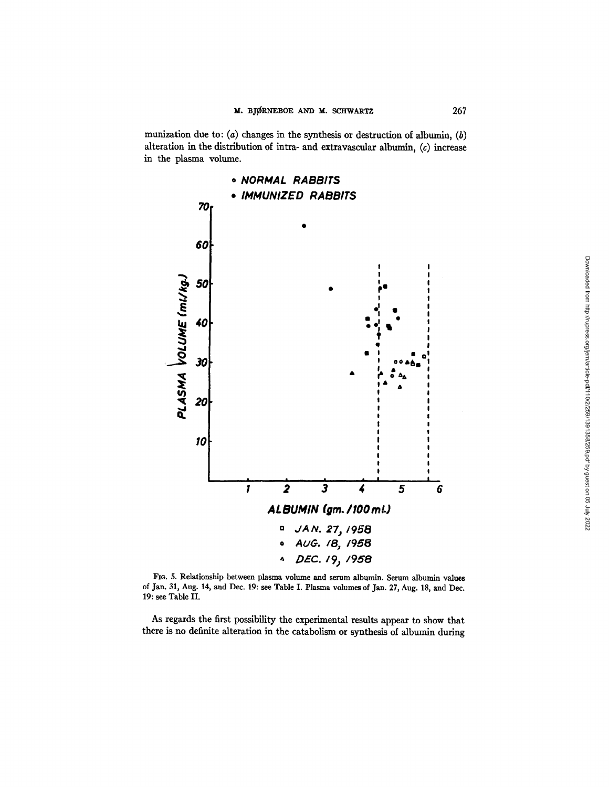munization due to: (a) changes in the synthesis or destruction of albumin, (b) alteration in the distribution of intra- and extravascular albumin,  $(c)$  increase in the plasma volume.



FIG. 5. Relationship between plasma volume and serum albumin. Serum albumin values of Jan. 31, Aug. 14, and Dec. 19: see Table I. Plasma volumes of Jan. 27, Aug. 18, and Dec. 19: see Table II.

As regards the first possibility the experimental results appear to show that there is no definite alteration in the catabolism or synthesis of albumin during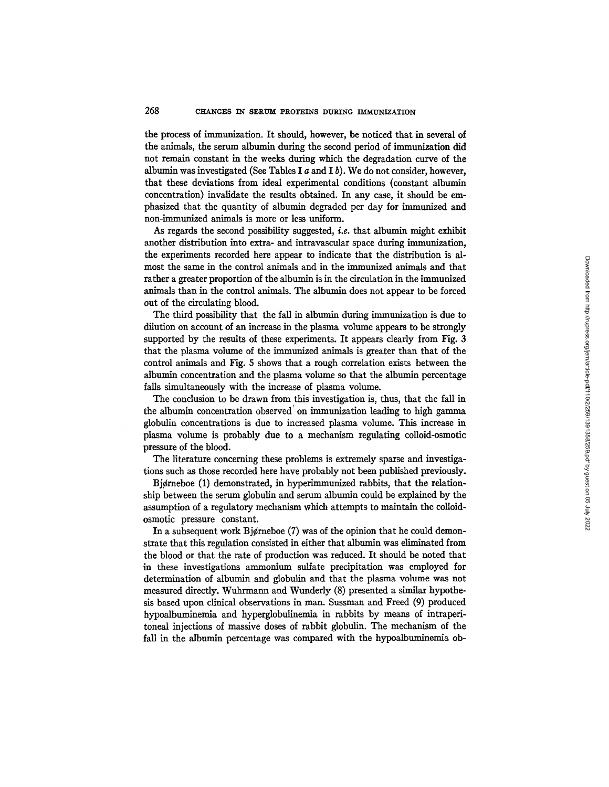the process of immunization. It should, however, be noticed that in several of the animals, the serum albumin during the second period of immunization did not remain constant in the weeks during which the degradation curve of the albumin was investigated (See Tables I  $a$  and I  $b$ ). We do not consider, however, that these deviations from ideal experimental conditions (constant albumin concentration) invalidate the results obtained. In any case, it should be emphasized that the quantity of albumin degraded per day for immunized and non-immunized animals is more or less uniform.

As regards the second possibility suggested, *i.e.* that albumin might exhibit another distribution into extra- and intravascular space during immunization, the experiments recorded here appear to indicate that the distribution is almost the same in the control animals and in the immunized animals and that rather a greater proportion of the albumin is in the circulation in the immunized animals than in the control animals. The albumin does not appear to be forced out of the circulating blood.

The third possibility that the fall in albumin during immunization is due to dilution on account of an increase in the plasma volume appears to be strongly supported by the results of these experiments. It appears clearly from Fig. 3 that the plasma volume of the immunized animals is greater than that of the control animals and Fig. S shows that a rough correlation exists between the albumin concentration and the plasma volume so that the albumin percentage falls simultaneously with the increase of plasma volume.

The conclusion to be drawn from this investigation is, thus, that the fall in the albumin concentration observed on immunization leading to high gamma globulin concentrations is due to increased plasma volume. This increase in plasma volume is probably due to a mechanism regulating colloid-osmotic pressure of the blood.

The literature concerning these problems is extremely sparse and investigations such as those recorded here have probably not been published previously.

Bjørneboe (1) demonstrated, in hyperimmunized rabbits, that the relationship between the serum globulin and serum albumin could be explained by the assumption of a regulatory mechanism which attempts to maintain the colloidosmotic pressure constant.

In a subsequent work Bjørneboe  $(7)$  was of the opinion that he could demonstrate that this regulation consisted in either that albumin was eliminated from the blood or that the rate of production was reduced. It should be noted that in these investigations ammonium sulfate precipitation was employed for determination of albumin and globulin and that the plasma volume was not measured directly. Wuhrmann and Wunderly (8) presented a similar hypothesis based upon clinical observations in man. Sussman and Freed (9) produced hypoalbuminemia and hyperglobulinemia in rabbits by means of intraperitoneal injections of massive doses of rabbit globulin. The mechanism of the fall in the albumin percentage was compared with the hypoalbuminemia ob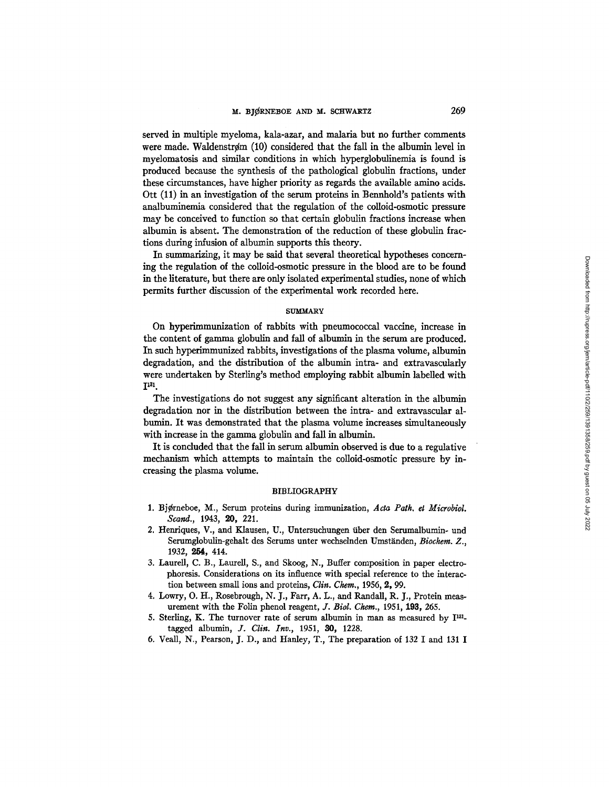served in multiple myeloma, kala-azar, and malaria but no further comments were made. Waldenstrøm (10) considered that the fall in the albumin level in myelomatosis and similar conditions in which hyperglobulinemia is found is produced because the synthesis of the pathological globulin fractions, under these circumstances, have higher priority as regards the available amino acids. Ott (11) in an investigation of the serum proteins in Bennhold's patients with analbuminemia considered that the regulation of the colloid-osmotic pressure may be conceived to function so that certain globulin fractions increase when albumin is absent. The demonstration of the reduction of these globulin fractions during infusion of albumin supports this theory.

In summarizing, it may be said that several theoretical hypotheses concerning the regulation of the colloid-osmotic pressure in the blood are to be found in the literature, but there are only isolated experimental studies, none of which permits further discussion of the experimental work recorded here.

## **SUMMARY**

On hyperimmunization of rabbits with pneumococcal vaccine, increase in the content of gamma globulin and fall of albumin in the serum are produced. In such hyperimmunized rabbits, investigations of the plasma volume, albumin degradation, and the distribution of the albumin intra- and extravascularly were undertaken by Sterling's method employing rabbit albumin labelled with **I~31.** 

The investigations do not suggest any significant alteration in the albumin degradation nor in the distribution between the intra- and extravascular albumin. It was demonstrated that the plasma volume increases simultaneously with increase in the gamma globulin and fall in albumin.

It is concluded that the fall in serum albumin observed is due to a regulative mechanism which attempts to maintain the colloid-osmotic pressure by increasing the plasma volume.

### BIBLIOGRAPHY

- 1. Bjørneboe, M., Serum proteins during immunization, Acta Path. et Microbiol. *Scand.,* 1943, 20, 221.
- 2. Henriques, V., and Klausen, U., Untersuchungen fiber den Serumalbumin- und Serumglobulin-gehalt des Serums unter wechselnden Umständen, *Biochem. Z.*, 1932, 255, 414.
- 3. Laurell, C. B., Laurell, S., and Skoog, N., Buffer composition in paper electrophoresis. Considerations on its influence with special reference to the interaction between small ions and proteins, *Clin. Chem.,* 1956, 2, 99.
- 4. Lowry, O. H., Rosebrough, N. J., Farr, A. L., and Randall, R. J., Protein measurement with the Folin phenol reagent, *J. Biol. Chem.,* 1951, 193, 265.
- 5. Sterling, K. The turnover rate of serum albumin in man as measured by  $I^{131}$ tagged albumin, *J. Clin. Inv.,* 1951, 30, 1228.
- 6. Veall, N., Pearson, J. D., and Hanley, T., The preparation of 132 I and 131 I